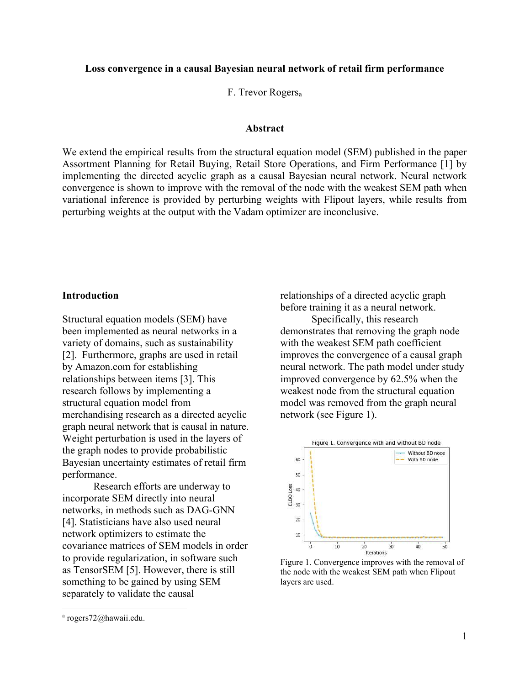# Loss convergence in a causal Bayesian neural network of retail firm performance

F. Trevor Rogers<sup>a</sup>

## Abstract

We extend the empirical results from the structural equation model (SEM) published in the paper Assortment Planning for Retail Buying, Retail Store Operations, and Firm Performance [1] by implementing the directed acyclic graph as a causal Bayesian neural network. Neural network convergence is shown to improve with the removal of the node with the weakest SEM path when variational inference is provided by perturbing weights with Flipout layers, while results from perturbing weights at the output with the Vadam optimizer are inconclusive.

## **Introduction**

Structural equation models (SEM) have been implemented as neural networks in a variety of domains, such as sustainability [2]. Furthermore, graphs are used in retail by Amazon.com for establishing relationships between items [3]. This research follows by implementing a structural equation model from merchandising research as a directed acyclic graph neural network that is causal in nature. Weight perturbation is used in the layers of the graph nodes to provide probabilistic Bayesian uncertainty estimates of retail firm performance.

Research efforts are underway to incorporate SEM directly into neural networks, in methods such as DAG-GNN [4]. Statisticians have also used neural network optimizers to estimate the covariance matrices of SEM models in order to provide regularization, in software such as TensorSEM [5]. However, there is still something to be gained by using SEM separately to validate the causal

Specifically, this research demonstrates that removing the graph node with the weakest SEM path coefficient improves the convergence of a causal graph neural network. The path model under study improved convergence by 62.5% when the weakest node from the structural equation model was removed from the graph neural network (see Figure 1).



Figure 1. Convergence improves with the removal of the node with the weakest SEM path when Flipout layers are used.

relationships of a directed acyclic graph before training it as a neural network.

a rogers72@hawaii.edu.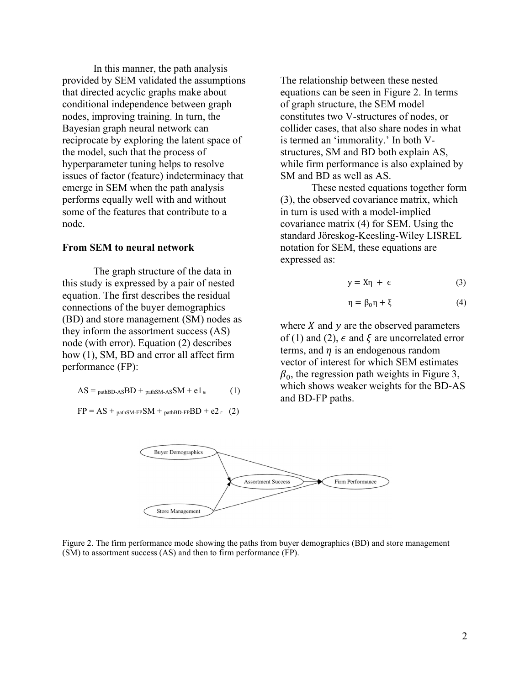In this manner, the path analysis provided by SEM validated the assumptions that directed acyclic graphs make about conditional independence between graph nodes, improving training. In turn, the Bayesian graph neural network can reciprocate by exploring the latent space of the model, such that the process of hyperparameter tuning helps to resolve issues of factor (feature) indeterminacy that emerge in SEM when the path analysis performs equally well with and without some of the features that contribute to a node.

#### From SEM to neural network

The graph structure of the data in this study is expressed by a pair of nested equation. The first describes the residual connections of the buyer demographics (BD) and store management (SM) nodes as they inform the assortment success (AS) node (with error). Equation (2) describes how (1), SM, BD and error all affect firm performance (FP):

$$
AS =_{\text{pathBD-AS}} BD +_{\text{pathSM-AS}} SM + e1_{\in}
$$
 (1)

$$
FP = AS +_{pathSM-FP}SM +_{pathBD-FP}BD + e2 \in (2)
$$

The relationship between these nested equations can be seen in Figure 2. In terms of graph structure, the SEM model constitutes two V-structures of nodes, or collider cases, that also share nodes in what is termed an 'immorality.' In both Vstructures, SM and BD both explain AS, while firm performance is also explained by SM and BD as well as AS.

These nested equations together form (3), the observed covariance matrix, which in turn is used with a model-implied covariance matrix (4) for SEM. Using the standard Jöreskog-Keesling-Wiley LISREL notation for SEM, these equations are expressed as:

$$
y = X\eta + \epsilon \tag{3}
$$

$$
\eta = \beta_0 \eta + \xi \tag{4}
$$

where  $X$  and  $y$  are the observed parameters of (1) and (2),  $\epsilon$  and  $\xi$  are uncorrelated error terms, and  $\eta$  is an endogenous random vector of interest for which SEM estimates  $\beta_0$ , the regression path weights in Figure 3, which shows weaker weights for the BD-AS and BD-FP paths.



Figure 2. The firm performance mode showing the paths from buyer demographics (BD) and store management (SM) to assortment success (AS) and then to firm performance (FP).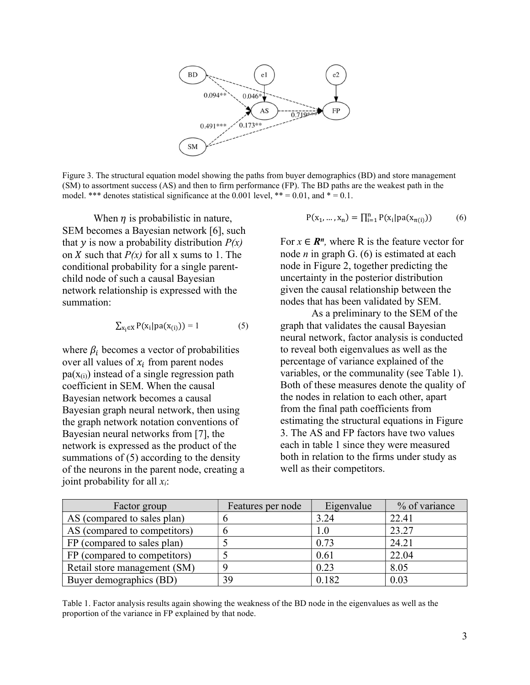

Figure 3. The structural equation model showing the paths from buyer demographics (BD) and store management (SM) to assortment success (AS) and then to firm performance (FP). The BD paths are the weakest path in the model. \*\*\* denotes statistical significance at the 0.001 level, \*\* = 0.01, and \* = 0.1.

When  $\eta$  is probabilistic in nature, SEM becomes a Bayesian network [6], such that y is now a probability distribution  $P(x)$ on X such that  $P(x)$  for all x sums to 1. The conditional probability for a single parentchild node of such a causal Bayesian network relationship is expressed with the summation:

$$
\sum_{x_i \in X} P(x_i | pa(x_{(i)})) = 1 \tag{5}
$$

where  $\beta_i$  becomes a vector of probabilities over all values of  $x_i$  from parent nodes  $pa(X(i))$  instead of a single regression path coefficient in SEM. When the causal Bayesian network becomes a causal Bayesian graph neural network, then using the graph network notation conventions of Bayesian neural networks from [7], the network is expressed as the product of the summations of (5) according to the density of the neurons in the parent node, creating a joint probability for all  $x_i$ :

$$
P(x_1, ..., x_n) = \prod_{i=1}^{n} P(x_i | pa(x_{\pi(i)}))
$$
 (6)

For  $x \in \mathbb{R}^n$ , where R is the feature vector for node *n* in graph G.  $(6)$  is estimated at each node in Figure 2, together predicting the uncertainty in the posterior distribution given the causal relationship between the nodes that has been validated by SEM.

As a preliminary to the SEM of the graph that validates the causal Bayesian neural network, factor analysis is conducted to reveal both eigenvalues as well as the percentage of variance explained of the variables, or the communality (see Table 1). Both of these measures denote the quality of the nodes in relation to each other, apart from the final path coefficients from estimating the structural equations in Figure 3. The AS and FP factors have two values each in table 1 since they were measured both in relation to the firms under study as well as their competitors.

| Factor group                 | Features per node | Eigenvalue | % of variance |
|------------------------------|-------------------|------------|---------------|
| AS (compared to sales plan)  |                   | 3.24       | 22.41         |
| AS (compared to competitors) |                   | $1.0\,$    | 23.27         |
| FP (compared to sales plan)  |                   | 0.73       | 24.21         |
| FP (compared to competitors) |                   | 0.61       | 22.04         |
| Retail store management (SM) |                   | 0.23       | 8.05          |
| Buyer demographics (BD)      | 39                | 0.182      | 0.03          |

Table 1. Factor analysis results again showing the weakness of the BD node in the eigenvalues as well as the proportion of the variance in FP explained by that node.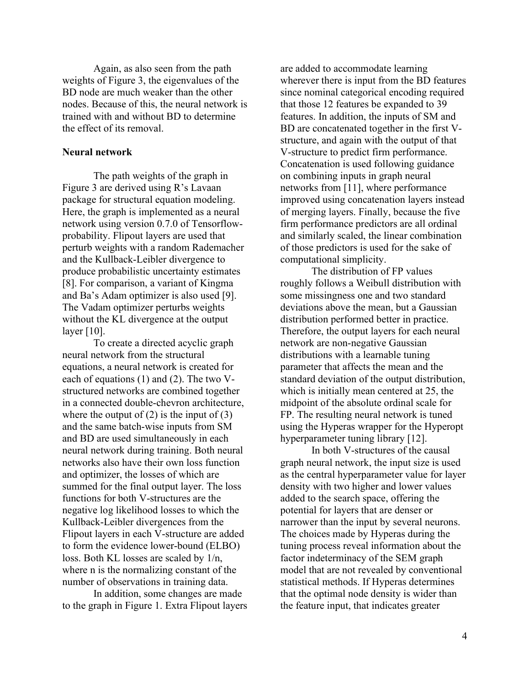Again, as also seen from the path weights of Figure 3, the eigenvalues of the BD node are much weaker than the other nodes. Because of this, the neural network is trained with and without BD to determine the effect of its removal.

#### Neural network

The path weights of the graph in Figure 3 are derived using R's Lavaan package for structural equation modeling. Here, the graph is implemented as a neural network using version 0.7.0 of Tensorflowprobability. Flipout layers are used that perturb weights with a random Rademacher and the Kullback-Leibler divergence to produce probabilistic uncertainty estimates [8]. For comparison, a variant of Kingma and Ba's Adam optimizer is also used [9]. The Vadam optimizer perturbs weights without the KL divergence at the output layer [10].

To create a directed acyclic graph neural network from the structural equations, a neural network is created for each of equations (1) and (2). The two Vstructured networks are combined together in a connected double-chevron architecture, where the output of  $(2)$  is the input of  $(3)$ and the same batch-wise inputs from SM and BD are used simultaneously in each neural network during training. Both neural networks also have their own loss function and optimizer, the losses of which are summed for the final output layer. The loss functions for both V-structures are the negative log likelihood losses to which the Kullback-Leibler divergences from the Flipout layers in each V-structure are added to form the evidence lower-bound (ELBO) loss. Both KL losses are scaled by 1/n, where n is the normalizing constant of the number of observations in training data.

In addition, some changes are made to the graph in Figure 1. Extra Flipout layers are added to accommodate learning wherever there is input from the BD features since nominal categorical encoding required that those 12 features be expanded to 39 features. In addition, the inputs of SM and BD are concatenated together in the first Vstructure, and again with the output of that V-structure to predict firm performance. Concatenation is used following guidance on combining inputs in graph neural networks from [11], where performance improved using concatenation layers instead of merging layers. Finally, because the five firm performance predictors are all ordinal and similarly scaled, the linear combination of those predictors is used for the sake of computational simplicity.

The distribution of FP values roughly follows a Weibull distribution with some missingness one and two standard deviations above the mean, but a Gaussian distribution performed better in practice. Therefore, the output layers for each neural network are non-negative Gaussian distributions with a learnable tuning parameter that affects the mean and the standard deviation of the output distribution, which is initially mean centered at 25, the midpoint of the absolute ordinal scale for FP. The resulting neural network is tuned using the Hyperas wrapper for the Hyperopt hyperparameter tuning library [12].

In both V-structures of the causal graph neural network, the input size is used as the central hyperparameter value for layer density with two higher and lower values added to the search space, offering the potential for layers that are denser or narrower than the input by several neurons. The choices made by Hyperas during the tuning process reveal information about the factor indeterminacy of the SEM graph model that are not revealed by conventional statistical methods. If Hyperas determines that the optimal node density is wider than the feature input, that indicates greater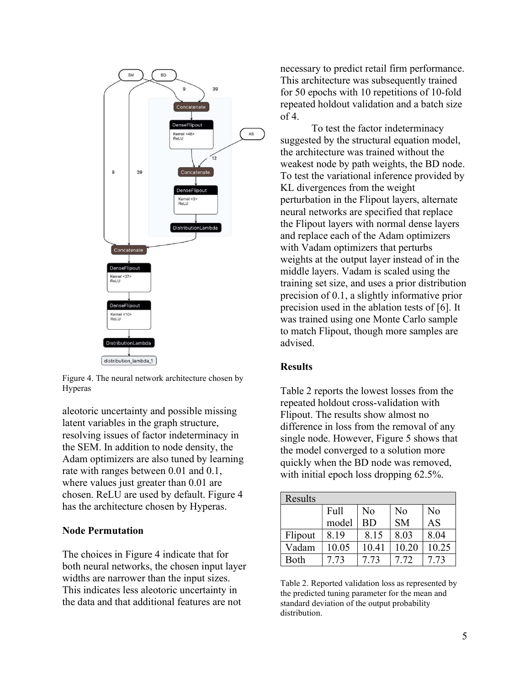

Figure 4. The neural network architecture chosen by Hyperas

aleotoric uncertainty and possible missing latent variables in the graph structure, resolving issues of factor indeterminacy in the SEM. In addition to node density, the Adam optimizers are also tuned by learning rate with ranges between 0.01 and 0.1, where values just greater than 0.01 are chosen. ReLU are used by default. Figure 4 has the architecture chosen by Hyperas.

## Node Permutation

The choices in Figure 4 indicate that for both neural networks, the chosen input layer widths are narrower than the input sizes. This indicates less aleotoric uncertainty in the data and that additional features are not

necessary to predict retail firm performance. This architecture was subsequently trained for 50 epochs with 10 repetitions of 10-fold repeated holdout validation and a batch size  $of 4.$ 

To test the factor indeterminacy suggested by the structural equation model, the architecture was trained without the weakest node by path weights, the BD node. To test the variational inference provided by KL divergences from the weight perturbation in the Flipout layers, alternate neural networks are specified that replace the Flipout layers with normal dense layers and replace each of the Adam optimizers with Vadam optimizers that perturbs weights at the output layer instead of in the middle layers. Vadam is scaled using the training set size, and uses a prior distribution precision of 0.1, a slightly informative prior precision used in the ablation tests of [6]. It was trained using one Monte Carlo sample to match Flipout, though more samples are advised.

# **Results**

Table 2 reports the lowest losses from the repeated holdout cross-validation with Flipout. The results show almost no difference in loss from the removal of any single node. However, Figure 5 shows that the model converged to a solution more quickly when the BD node was removed, with initial epoch loss dropping 62.5%.

| Results |       |       |                |       |  |  |
|---------|-------|-------|----------------|-------|--|--|
|         | Full  | No    | N <sub>o</sub> | No    |  |  |
|         | model | BD    | <b>SM</b>      | AS    |  |  |
| Flipout | 8.19  | 8.15  | 8.03           | 8.04  |  |  |
| Vadam   | 10.05 | 10.41 | 10.20          | 10.25 |  |  |
| Both    | 7.73  | 7.73  | 7.72           | 7.73  |  |  |

Table 2. Reported validation loss as represented by the predicted tuning parameter for the mean and standard deviation of the output probability distribution.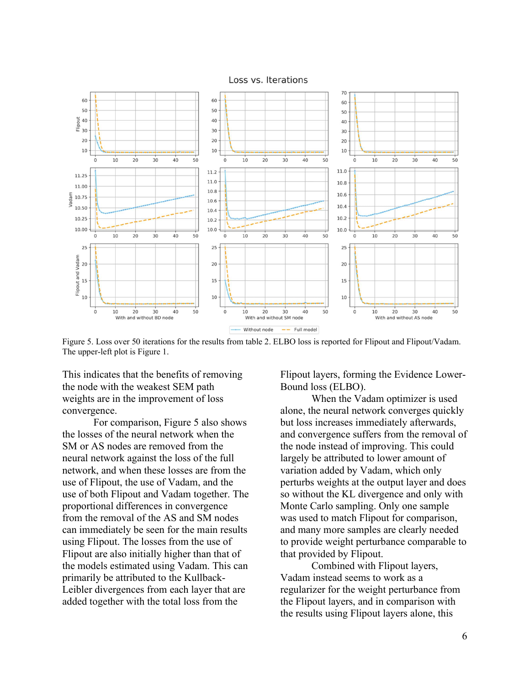Loss vs. Iterations



Figure 5. Loss over 50 iterations for the results from table 2. ELBO loss is reported for Flipout and Flipout/Vadam. The upper-left plot is Figure 1.

This indicates that the benefits of removing the node with the weakest SEM path weights are in the improvement of loss convergence.

For comparison, Figure 5 also shows the losses of the neural network when the SM or AS nodes are removed from the neural network against the loss of the full network, and when these losses are from the use of Flipout, the use of Vadam, and the use of both Flipout and Vadam together. The proportional differences in convergence from the removal of the AS and SM nodes can immediately be seen for the main results using Flipout. The losses from the use of Flipout are also initially higher than that of the models estimated using Vadam. This can primarily be attributed to the Kullback-Leibler divergences from each layer that are added together with the total loss from the

Flipout layers, forming the Evidence Lower-Bound loss (ELBO).

When the Vadam optimizer is used alone, the neural network converges quickly but loss increases immediately afterwards, and convergence suffers from the removal of the node instead of improving. This could largely be attributed to lower amount of variation added by Vadam, which only perturbs weights at the output layer and does so without the KL divergence and only with Monte Carlo sampling. Only one sample was used to match Flipout for comparison, and many more samples are clearly needed to provide weight perturbance comparable to that provided by Flipout.

Combined with Flipout layers, Vadam instead seems to work as a regularizer for the weight perturbance from the Flipout layers, and in comparison with the results using Flipout layers alone, this